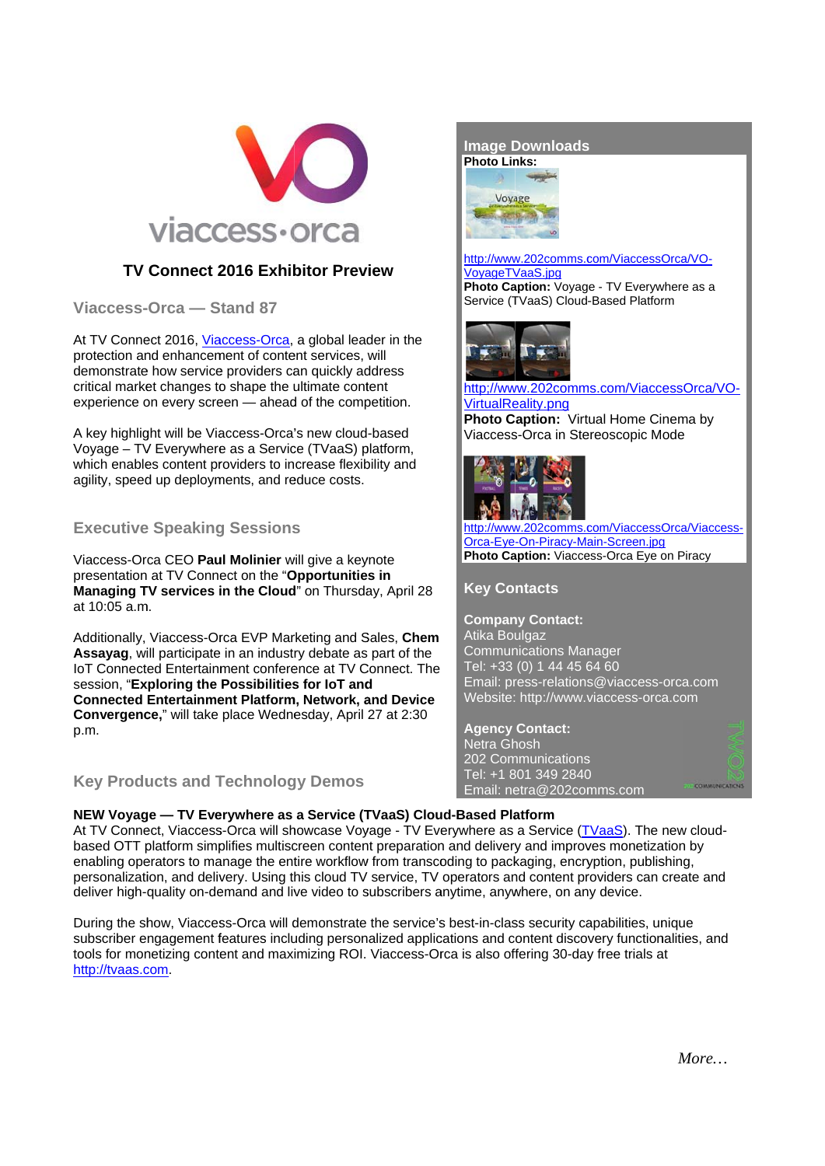

# **TV Connect 2016 Exhibitor Preview**

Viaccess-Orca - Stand 87

At TV Connect 2016, Viaccess-Orca, a global leader in the protection and enhancement of content services, will demonstrate how service providers can quickly address critical market changes to shape the ultimate content experience on every screen — ahead of the competition.

A key highlight will be Viaccess-Orca's new cloud-based Voyage - TV Everywhere as a Service (TVaaS) platform, which enables content providers to increase flexibility and agility, speed up deployments, and reduce costs.

# **Executive Speaking Sessions**

Viaccess-Orca CEO Paul Molinier will give a keynote presentation at TV Connect on the "Opportunities in Managing TV services in the Cloud" on Thursday, April 28 at 10:05 a.m.

Additionally, Viaccess-Orca EVP Marketing and Sales, Chem Assavag, will participate in an industry debate as part of the IoT Connected Entertainment conference at TV Connect. The session. "Exploring the Possibilities for IoT and **Connected Entertainment Platform, Network, and Device** Convergence," will take place Wednesday, April 27 at 2:30 p.m.

## **Key Products and Technology Demos**



#### http://www.202comms.com/ViaccessOrca/VO-VovageTVaaS.ipg

Photo Caption: Vovage - TV Everywhere as a Service (TVaaS) Cloud-Based Platform



### http://www.202comms.com/ViaccessOrca/VO-VirtualReality.png Photo Caption: Virtual Home Cinema by

Viaccess-Orca in Stereoscopic Mode



//www.202comms.com/ViaccessOrca/Viaccess-Orca-Eye-On-Piracy-Main-Screen.jpg Photo Caption: Viaccess-Orca Eye on Piracy

**Key Contacts** 

**Company Contact:** Atika Boulgaz **Communications Manager** Tel: +33 (0) 1 44 45 64 60 Email: press-relations@viaccess-orca.com Website: http://www.viaccess-orca.com

**Agency Contact:** Netra Ghosh 202 Communications Tel: +1 801 349 2840 Email: netra@202comms.com



### NEW Voyage - TV Everywhere as a Service (TVaaS) Cloud-Based Platform

At TV Connect, Viaccess-Orca will showcase Voyage - TV Everywhere as a Service (TVaaS). The new cloudbased OTT platform simplifies multiscreen content preparation and delivery and improves monetization by enabling operators to manage the entire workflow from transcoding to packaging, encryption, publishing, personalization, and delivery. Using this cloud TV service, TV operators and content providers can create and deliver high-quality on-demand and live video to subscribers anytime, anywhere, on any device.

During the show, Viaccess-Orca will demonstrate the service's best-in-class security capabilities, unique subscriber engagement features including personalized applications and content discovery functionalities, and tools for monetizing content and maximizing ROI. Viaccess-Orca is also offering 30-day free trials at http://tvaas.com.